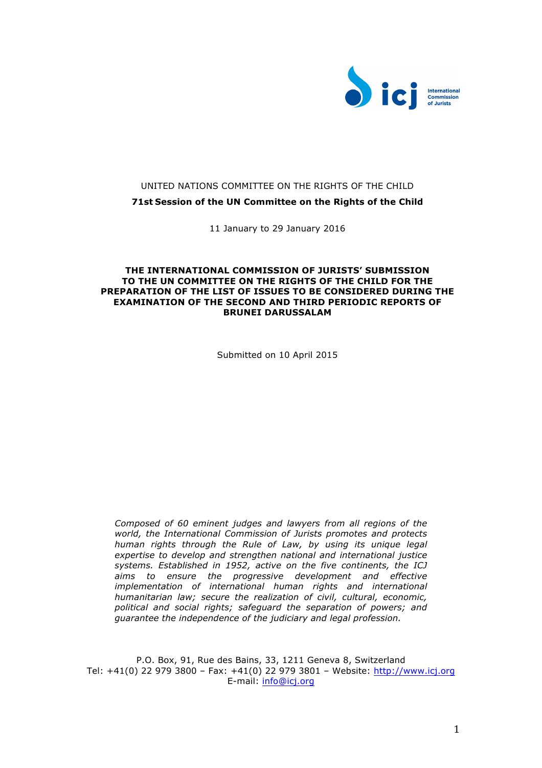

# UNITED NATIONS COMMITTEE ON THE RIGHTS OF THE CHILD **71st Session of the UN Committee on the Rights of the Child**

11 January to 29 January 2016

#### **THE INTERNATIONAL COMMISSION OF JURISTS' SUBMISSION TO THE UN COMMITTEE ON THE RIGHTS OF THE CHILD FOR THE PREPARATION OF THE LIST OF ISSUES TO BE CONSIDERED DURING THE EXAMINATION OF THE SECOND AND THIRD PERIODIC REPORTS OF BRUNEI DARUSSALAM**

Submitted on 10 April 2015

*Composed of 60 eminent judges and lawyers from all regions of the world, the International Commission of Jurists promotes and protects human rights through the Rule of Law, by using its unique legal expertise to develop and strengthen national and international justice systems. Established in 1952, active on the five continents, the ICJ aims to ensure the progressive development and effective implementation of international human rights and international humanitarian law; secure the realization of civil, cultural, economic, political and social rights; safeguard the separation of powers; and guarantee the independence of the judiciary and legal profession.*

P.O. Box, 91, Rue des Bains, 33, 1211 Geneva 8, Switzerland Tel: +41(0) 22 979 3800 – Fax: +41(0) 22 979 3801 – Website: http://www.icj.org E-mail: info@icj.org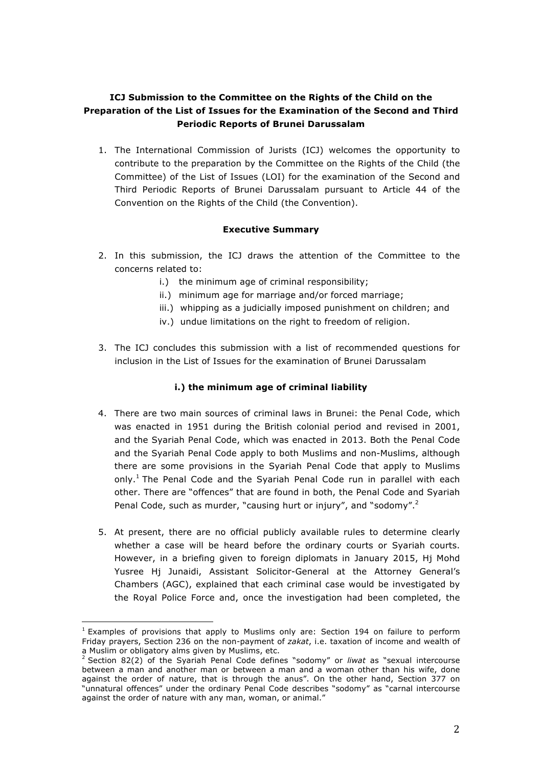# **ICJ Submission to the Committee on the Rights of the Child on the Preparation of the List of Issues for the Examination of the Second and Third Periodic Reports of Brunei Darussalam**

1. The International Commission of Jurists (ICJ) welcomes the opportunity to contribute to the preparation by the Committee on the Rights of the Child (the Committee) of the List of Issues (LOI) for the examination of the Second and Third Periodic Reports of Brunei Darussalam pursuant to Article 44 of the Convention on the Rights of the Child (the Convention).

# **Executive Summary**

- 2. In this submission, the ICJ draws the attention of the Committee to the concerns related to:
	- i.) the minimum age of criminal responsibility;
	- ii.) minimum age for marriage and/or forced marriage;
	- iii.) whipping as a judicially imposed punishment on children; and
	- iv.) undue limitations on the right to freedom of religion.
- 3. The ICJ concludes this submission with a list of recommended questions for inclusion in the List of Issues for the examination of Brunei Darussalam

# **i.) the minimum age of criminal liability**

- 4. There are two main sources of criminal laws in Brunei: the Penal Code, which was enacted in 1951 during the British colonial period and revised in 2001, and the Syariah Penal Code, which was enacted in 2013. Both the Penal Code and the Syariah Penal Code apply to both Muslims and non-Muslims, although there are some provisions in the Syariah Penal Code that apply to Muslims only.<sup>1</sup> The Penal Code and the Syariah Penal Code run in parallel with each other. There are "offences" that are found in both, the Penal Code and Syariah Penal Code, such as murder, "causing hurt or injury", and "sodomy".<sup>2</sup>
- 5. At present, there are no official publicly available rules to determine clearly whether a case will be heard before the ordinary courts or Syariah courts. However, in a briefing given to foreign diplomats in January 2015, Hj Mohd Yusree Hj Junaidi, Assistant Solicitor-General at the Attorney General's Chambers (AGC), explained that each criminal case would be investigated by the Royal Police Force and, once the investigation had been completed, the

 $1$  Examples of provisions that apply to Muslims only are: Section 194 on failure to perform Friday prayers, Section 236 on the non-payment of *zakat*, i.e. taxation of income and wealth of a Muslim or obligatory alms given by Muslims, etc.

<sup>2</sup> Section 82(2) of the Syariah Penal Code defines "sodomy" or *liwat* as "sexual intercourse between a man and another man or between a man and a woman other than his wife, done against the order of nature, that is through the anus". On the other hand, Section 377 on "unnatural offences" under the ordinary Penal Code describes "sodomy" as "carnal intercourse against the order of nature with any man, woman, or animal."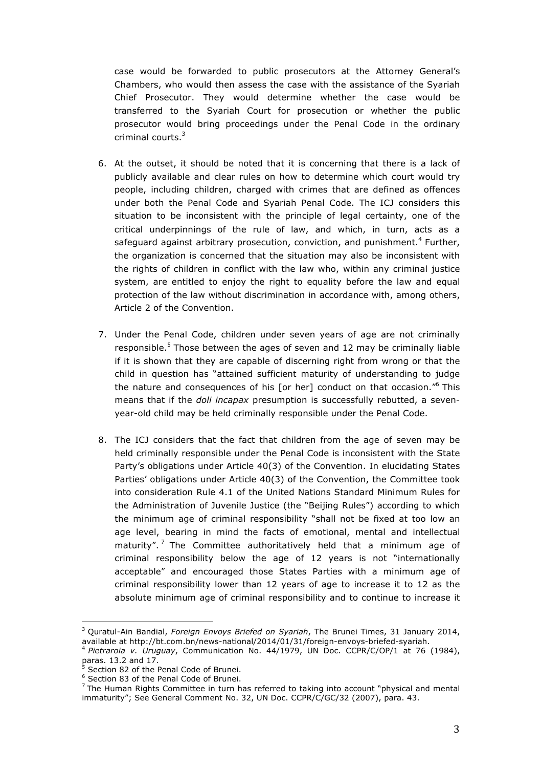case would be forwarded to public prosecutors at the Attorney General's Chambers, who would then assess the case with the assistance of the Syariah Chief Prosecutor. They would determine whether the case would be transferred to the Syariah Court for prosecution or whether the public prosecutor would bring proceedings under the Penal Code in the ordinary criminal courts.3

- 6. At the outset, it should be noted that it is concerning that there is a lack of publicly available and clear rules on how to determine which court would try people, including children, charged with crimes that are defined as offences under both the Penal Code and Syariah Penal Code. The ICJ considers this situation to be inconsistent with the principle of legal certainty, one of the critical underpinnings of the rule of law, and which, in turn, acts as a safeguard against arbitrary prosecution, conviction, and punishment.<sup>4</sup> Further, the organization is concerned that the situation may also be inconsistent with the rights of children in conflict with the law who, within any criminal justice system, are entitled to enjoy the right to equality before the law and equal protection of the law without discrimination in accordance with, among others, Article 2 of the Convention.
- 7. Under the Penal Code, children under seven years of age are not criminally responsible.<sup>5</sup> Those between the ages of seven and 12 may be criminally liable if it is shown that they are capable of discerning right from wrong or that the child in question has "attained sufficient maturity of understanding to judge the nature and consequences of his [or her] conduct on that occasion."6 This means that if the *doli incapax* presumption is successfully rebutted, a sevenyear-old child may be held criminally responsible under the Penal Code.
- 8. The ICJ considers that the fact that children from the age of seven may be held criminally responsible under the Penal Code is inconsistent with the State Party's obligations under Article 40(3) of the Convention. In elucidating States Parties' obligations under Article 40(3) of the Convention, the Committee took into consideration Rule 4.1 of the United Nations Standard Minimum Rules for the Administration of Juvenile Justice (the "Beijing Rules") according to which the minimum age of criminal responsibility "shall not be fixed at too low an age level, bearing in mind the facts of emotional, mental and intellectual maturity".<sup>7</sup> The Committee authoritatively held that a minimum age of criminal responsibility below the age of 12 years is not "internationally acceptable" and encouraged those States Parties with a minimum age of criminal responsibility lower than 12 years of age to increase it to 12 as the absolute minimum age of criminal responsibility and to continue to increase it

<sup>3</sup> Quratul-Ain Bandial, *Foreign Envoys Briefed on Syariah*, The Brunei Times, 31 January 2014, available at http://bt.com.bn/news-national/2014/01/31/foreign-envoys-briefed-syariah.

<sup>4</sup> *Pietraroia v. Uruguay*, Communication No. 44/1979, UN Doc. CCPR/C/OP/1 at 76 (1984), paras. 13.2 and 17.

<sup>5</sup> Section 82 of the Penal Code of Brunei.

<sup>6</sup> Section 83 of the Penal Code of Brunei.

 $7$  The Human Rights Committee in turn has referred to taking into account "physical and mental immaturity"; See General Comment No. 32, UN Doc. CCPR/C/GC/32 (2007), para. 43.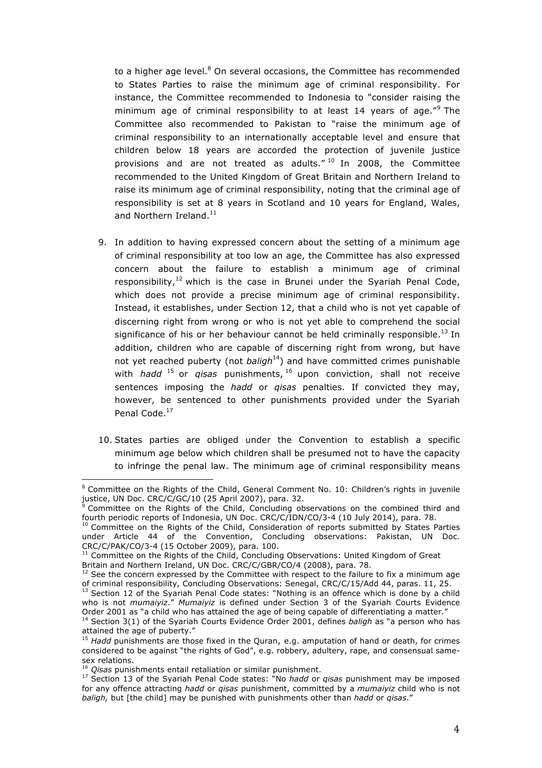to a higher age level.<sup>8</sup> On several occasions, the Committee has recommended to States Parties to raise the minimum age of criminal responsibility. For instance, the Committee recommended to Indonesia to "consider raising the minimum age of criminal responsibility to at least 14 years of age."<sup>9</sup> The Committee also recommended to Pakistan to "raise the minimum age of criminal responsibility to an internationally acceptable level and ensure that children below 18 years are accorded the protection of juvenile justice provisions and are not treated as adults." $10$  In 2008, the Committee recommended to the United Kingdom of Great Britain and Northern Ireland to raise its minimum age of criminal responsibility, noting that the criminal age of responsibility is set at 8 years in Scotland and 10 years for England, Wales, and Northern Ireland.<sup>11</sup>

- 9. In addition to having expressed concern about the setting of a minimum age of criminal responsibility at too low an age, the Committee has also expressed concern about the failure to establish a minimum age of criminal responsibility, $12$  which is the case in Brunei under the Syariah Penal Code, which does not provide a precise minimum age of criminal responsibility. Instead, it establishes, under Section 12, that a child who is not yet capable of discerning right from wrong or who is not yet able to comprehend the social significance of his or her behaviour cannot be held criminally responsible.<sup>13</sup> In addition, children who are capable of discerning right from wrong, but have not yet reached puberty (not *baligh*14) and have committed crimes punishable with *hadd* <sup>15</sup> or *qisas* punishments, <sup>16</sup> upon conviction, shall not receive sentences imposing the *hadd* or *qisas* penalties. If convicted they may, however, be sentenced to other punishments provided under the Syariah Penal Code.<sup>17</sup>
- 10. States parties are obliged under the Convention to establish a specific minimum age below which children shall be presumed not to have the capacity to infringe the penal law. The minimum age of criminal responsibility means

 $8$  Committee on the Rights of the Child, General Comment No. 10: Children's rights in juvenile justice, UN Doc. CRC/C/GC/10 (25 April 2007), para. 32.

Committee on the Rights of the Child, Concluding observations on the combined third and fourth periodic reports of Indonesia, UN Doc. CRC/C/IDN/CO/3-4 (10 July 2014), para. 78.

<sup>&</sup>lt;sup>10</sup> Committee on the Rights of the Child, Consideration of reports submitted by States Parties under Article 44 of the Convention, Concluding observations: Pakistan, UN Doc. CRC/C/PAK/CO/3-4 (15 October 2009), para. 100.

<sup>11</sup> Committee on the Rights of the Child, Concluding Observations: United Kingdom of Great Britain and Northern Ireland, UN Doc. CRC/C/GBR/CO/4 (2008), para. 78.

 $12$  See the concern expressed by the Committee with respect to the failure to fix a minimum age of criminal responsibility, Concluding Observations: Senegal, CRC/C/15/Add 44, paras. 11, 25.

<sup>&</sup>lt;sup>13</sup> Section 12 of the Syariah Penal Code states: "Nothing is an offence which is done by a child who is not *mumaiyiz*." *Mumaiyiz* is defined under Section 3 of the Syariah Courts Evidence Order 2001 as "a child who has attained the age of being capable of differentiating a matter."

<sup>14</sup> Section 3(1) of the Syariah Courts Evidence Order 2001, defines *baligh* as "a person who has attained the age of puberty."

<sup>&</sup>lt;sup>15</sup> Hadd punishments are those fixed in the Quran, e.g. amputation of hand or death, for crimes considered to be against "the rights of God", e.g. robbery, adultery, rape, and consensual samesex relations.<br><sup>16</sup> Oisas punishments entail retaliation or similar punishment.

<sup>&</sup>lt;sup>17</sup> Section 13 of the Syariah Penal Code states: "No *hadd* or *qisas* punishment may be imposed for any offence attracting *hadd* or *qisas* punishment, committed by a *mumaiyiz* child who is not *baligh,* but [the child] may be punished with punishments other than *hadd* or *qisas*."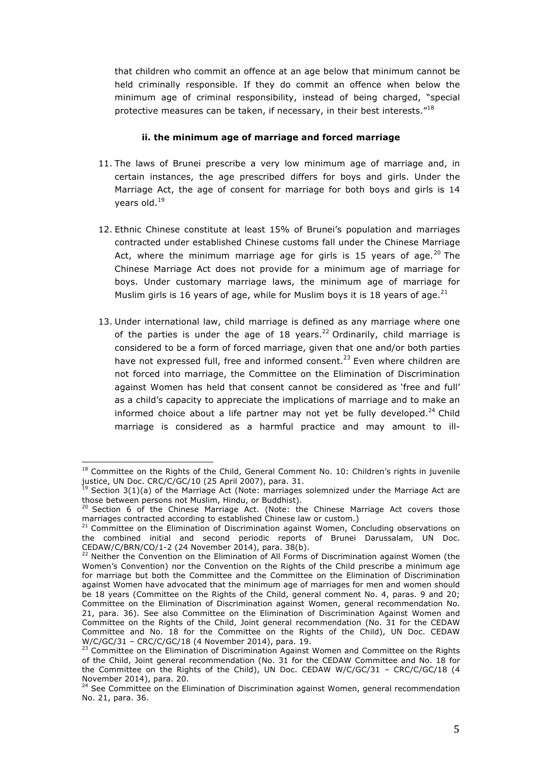that children who commit an offence at an age below that minimum cannot be held criminally responsible. If they do commit an offence when below the minimum age of criminal responsibility, instead of being charged, "special protective measures can be taken, if necessary, in their best interests."<sup>18</sup>

#### **ii. the minimum age of marriage and forced marriage**

- 11. The laws of Brunei prescribe a very low minimum age of marriage and, in certain instances, the age prescribed differs for boys and girls. Under the Marriage Act, the age of consent for marriage for both boys and girls is 14 years old.19
- 12. Ethnic Chinese constitute at least 15% of Brunei's population and marriages contracted under established Chinese customs fall under the Chinese Marriage Act, where the minimum marriage age for girls is 15 years of age.<sup>20</sup> The Chinese Marriage Act does not provide for a minimum age of marriage for boys. Under customary marriage laws, the minimum age of marriage for Muslim girls is 16 years of age, while for Muslim boys it is 18 years of age.<sup>21</sup>
- 13. Under international law, child marriage is defined as any marriage where one of the parties is under the age of 18 years.<sup>22</sup> Ordinarily, child marriage is considered to be a form of forced marriage, given that one and/or both parties have not expressed full, free and informed consent.<sup>23</sup> Even where children are not forced into marriage, the Committee on the Elimination of Discrimination against Women has held that consent cannot be considered as 'free and full' as a child's capacity to appreciate the implications of marriage and to make an informed choice about a life partner may not yet be fully developed. $^{24}$  Child marriage is considered as a harmful practice and may amount to ill-

 $18$  Committee on the Rights of the Child, General Comment No. 10: Children's rights in juvenile justice, UN Doc. CRC/C/GC/10 (25 April 2007), para. 31.

Section  $3(1)(a)$  of the Marriage Act (Note: marriages solemnized under the Marriage Act are those between persons not Muslim, Hindu, or Buddhist).

<sup>20</sup> Section 6 of the Chinese Marriage Act. (Note: the Chinese Marriage Act covers those marriages contracted according to established Chinese law or custom.)

 $21$  Committee on the Elimination of Discrimination against Women, Concluding observations on the combined initial and second periodic reports of Brunei Darussalam, UN Doc. CEDAW/C/BRN/CO/1-2 (24 November 2014), para. 38(b).

<sup>&</sup>lt;sup>22</sup> Neither the Convention on the Elimination of All Forms of Discrimination against Women (the Women's Convention) nor the Convention on the Rights of the Child prescribe a minimum age for marriage but both the Committee and the Committee on the Elimination of Discrimination against Women have advocated that the minimum age of marriages for men and women should be 18 years (Committee on the Rights of the Child, general comment No. 4, paras. 9 and 20; Committee on the Elimination of Discrimination against Women, general recommendation No. 21, para. 36). See also Committee on the Elimination of Discrimination Against Women and Committee on the Rights of the Child, Joint general recommendation (No. 31 for the CEDAW Committee and No. 18 for the Committee on the Rights of the Child), UN Doc. CEDAW W/C/GC/31 – CRC/C/GC/18 (4 November 2014), para. 19.

 $^{23}$  Committee on the Elimination of Discrimination Against Women and Committee on the Rights of the Child, Joint general recommendation (No. 31 for the CEDAW Committee and No. 18 for the Committee on the Rights of the Child), UN Doc. CEDAW W/C/GC/31 – CRC/C/GC/18 (4 November 2014), para. 20.

 $24$  See Committee on the Elimination of Discrimination against Women, general recommendation No. 21, para. 36.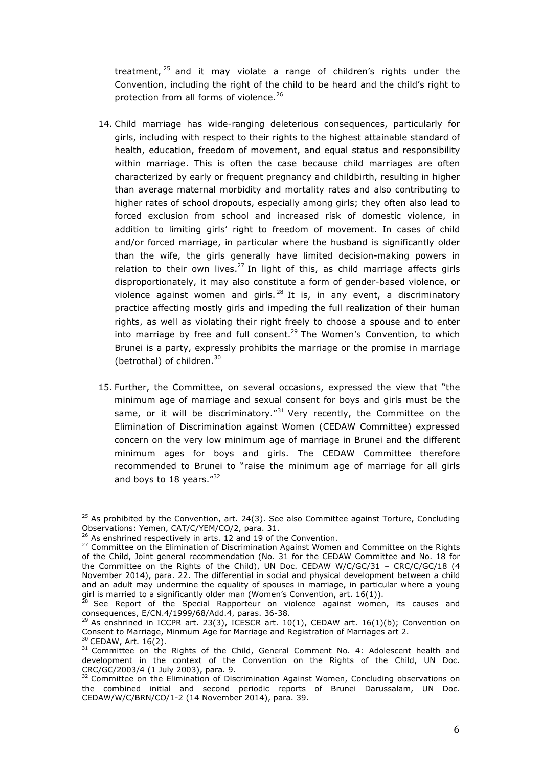treatment,  $25$  and it may violate a range of children's rights under the Convention, including the right of the child to be heard and the child's right to protection from all forms of violence.<sup>26</sup>

- 14. Child marriage has wide-ranging deleterious consequences, particularly for girls, including with respect to their rights to the highest attainable standard of health, education, freedom of movement, and equal status and responsibility within marriage. This is often the case because child marriages are often characterized by early or frequent pregnancy and childbirth, resulting in higher than average maternal morbidity and mortality rates and also contributing to higher rates of school dropouts, especially among girls; they often also lead to forced exclusion from school and increased risk of domestic violence, in addition to limiting girls' right to freedom of movement. In cases of child and/or forced marriage, in particular where the husband is significantly older than the wife, the girls generally have limited decision-making powers in relation to their own lives.<sup>27</sup> In light of this, as child marriage affects girls disproportionately, it may also constitute a form of gender-based violence, or violence against women and girls.<sup>28</sup> It is, in any event, a discriminatory practice affecting mostly girls and impeding the full realization of their human rights, as well as violating their right freely to choose a spouse and to enter into marriage by free and full consent.<sup>29</sup> The Women's Convention, to which Brunei is a party, expressly prohibits the marriage or the promise in marriage (betrothal) of children. $30$
- 15. Further, the Committee, on several occasions, expressed the view that "the minimum age of marriage and sexual consent for boys and girls must be the same, or it will be discriminatory. $^{\prime\prime}$ <sup>31</sup> Very recently, the Committee on the Elimination of Discrimination against Women (CEDAW Committee) expressed concern on the very low minimum age of marriage in Brunei and the different minimum ages for boys and girls. The CEDAW Committee therefore recommended to Brunei to "raise the minimum age of marriage for all girls and boys to 18 years."<sup>32</sup>

  $25$  As prohibited by the Convention, art. 24(3). See also Committee against Torture, Concluding Observations: Yemen, CAT/C/YEM/CO/2, para. 31.

 $\overline{P}$  As enshrined respectively in arts. 12 and 19 of the Convention.

<sup>&</sup>lt;sup>27</sup> Committee on the Elimination of Discrimination Against Women and Committee on the Rights of the Child, Joint general recommendation (No. 31 for the CEDAW Committee and No. 18 for the Committee on the Rights of the Child), UN Doc. CEDAW W/C/GC/31 – CRC/C/GC/18 (4 November 2014), para. 22. The differential in social and physical development between a child and an adult may undermine the equality of spouses in marriage, in particular where a young girl is married to a significantly older man (Women's Convention, art.  $16(1)$ ).

See Report of the Special Rapporteur on violence against women, its causes and consequences, E/CN.4/1999/68/Add.4, paras. 36-38.

 $^{29}$  As enshrined in ICCPR art. 23(3), ICESCR art. 10(1), CEDAW art. 16(1)(b); Convention on Consent to Marriage, Minmum Age for Marriage and Registration of Marriages art 2.  $30$  CEDAW, Art. 16(2).

<sup>&</sup>lt;sup>31</sup> Committee on the Rights of the Child, General Comment No. 4: Adolescent health and development in the context of the Convention on the Rights of the Child, UN Doc. CRC/GC/2003/4 (1 July 2003), para. 9.

<sup>&</sup>lt;sup>32</sup> Committee on the Elimination of Discrimination Against Women, Concluding observations on the combined initial and second periodic reports of Brunei Darussalam, UN Doc. CEDAW/W/C/BRN/CO/1-2 (14 November 2014), para. 39.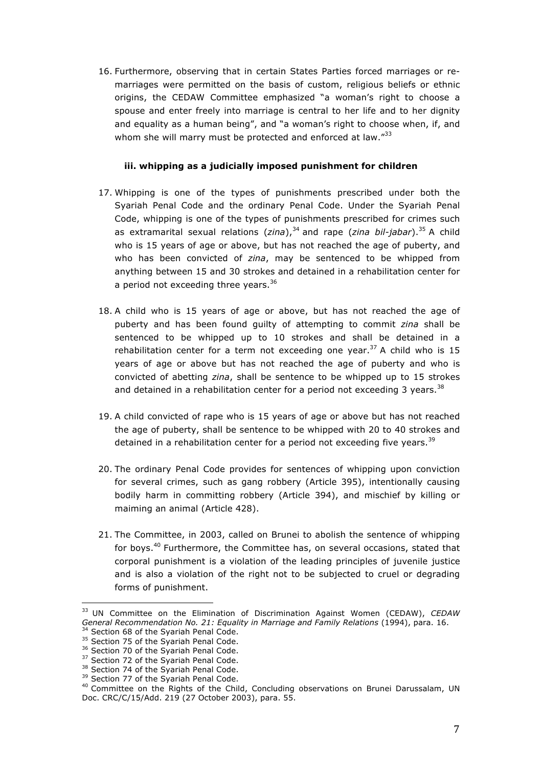16. Furthermore, observing that in certain States Parties forced marriages or remarriages were permitted on the basis of custom, religious beliefs or ethnic origins, the CEDAW Committee emphasized "a woman's right to choose a spouse and enter freely into marriage is central to her life and to her dignity and equality as a human being", and "a woman's right to choose when, if, and whom she will marry must be protected and enforced at law."<sup>33</sup>

### **iii. whipping as a judicially imposed punishment for children**

- 17. Whipping is one of the types of punishments prescribed under both the Syariah Penal Code and the ordinary Penal Code. Under the Syariah Penal Code, whipping is one of the types of punishments prescribed for crimes such as extramarital sexual relations (*zina*),<sup>34</sup> and rape (*zina bil-jabar*).<sup>35</sup> A child who is 15 years of age or above, but has not reached the age of puberty, and who has been convicted of *zina*, may be sentenced to be whipped from anything between 15 and 30 strokes and detained in a rehabilitation center for a period not exceeding three years.<sup>36</sup>
- 18. A child who is 15 years of age or above, but has not reached the age of puberty and has been found guilty of attempting to commit *zina* shall be sentenced to be whipped up to 10 strokes and shall be detained in a rehabilitation center for a term not exceeding one year.<sup>37</sup> A child who is 15 years of age or above but has not reached the age of puberty and who is convicted of abetting *zina*, shall be sentence to be whipped up to 15 strokes and detained in a rehabilitation center for a period not exceeding 3 years.<sup>38</sup>
- 19. A child convicted of rape who is 15 years of age or above but has not reached the age of puberty, shall be sentence to be whipped with 20 to 40 strokes and detained in a rehabilitation center for a period not exceeding five years.<sup>39</sup>
- 20. The ordinary Penal Code provides for sentences of whipping upon conviction for several crimes, such as gang robbery (Article 395), intentionally causing bodily harm in committing robbery (Article 394), and mischief by killing or maiming an animal (Article 428).
- 21. The Committee, in 2003, called on Brunei to abolish the sentence of whipping for boys.<sup>40</sup> Furthermore, the Committee has, on several occasions, stated that corporal punishment is a violation of the leading principles of juvenile justice and is also a violation of the right not to be subjected to cruel or degrading forms of punishment.

<sup>33</sup> UN Committee on the Elimination of Discrimination Against Women (CEDAW), *CEDAW General Recommendation No. 21: Equality in Marriage and Family Relations* (1994), para. 16. Section 68 of the Syariah Penal Code.

<sup>&</sup>lt;sup>35</sup> Section 75 of the Syariah Penal Code.

<sup>&</sup>lt;sup>36</sup> Section 70 of the Syariah Penal Code.

<sup>&</sup>lt;sup>37</sup> Section 72 of the Syariah Penal Code.

<sup>&</sup>lt;sup>38</sup> Section 74 of the Syariah Penal Code.

<sup>&</sup>lt;sup>39</sup> Section 77 of the Syariah Penal Code.

 $40$  Committee on the Rights of the Child, Concluding observations on Brunei Darussalam, UN Doc. CRC/C/15/Add. 219 (27 October 2003), para. 55.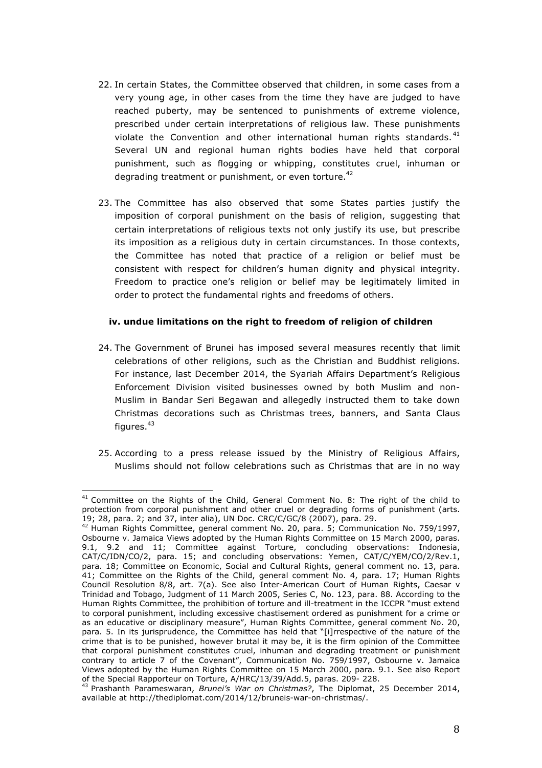- 22. In certain States, the Committee observed that children, in some cases from a very young age, in other cases from the time they have are judged to have reached puberty, may be sentenced to punishments of extreme violence, prescribed under certain interpretations of religious law. These punishments violate the Convention and other international human rights standards.<sup>41</sup> Several UN and regional human rights bodies have held that corporal punishment, such as flogging or whipping, constitutes cruel, inhuman or degrading treatment or punishment, or even torture.<sup>42</sup>
- 23. The Committee has also observed that some States parties justify the imposition of corporal punishment on the basis of religion, suggesting that certain interpretations of religious texts not only justify its use, but prescribe its imposition as a religious duty in certain circumstances. In those contexts, the Committee has noted that practice of a religion or belief must be consistent with respect for children's human dignity and physical integrity. Freedom to practice one's religion or belief may be legitimately limited in order to protect the fundamental rights and freedoms of others.

#### **iv. undue limitations on the right to freedom of religion of children**

- 24. The Government of Brunei has imposed several measures recently that limit celebrations of other religions, such as the Christian and Buddhist religions. For instance, last December 2014, the Syariah Affairs Department's Religious Enforcement Division visited businesses owned by both Muslim and non-Muslim in Bandar Seri Begawan and allegedly instructed them to take down Christmas decorations such as Christmas trees, banners, and Santa Claus figures. $43$
- 25. According to a press release issued by the Ministry of Religious Affairs, Muslims should not follow celebrations such as Christmas that are in no way

 $41$  Committee on the Rights of the Child, General Comment No. 8: The right of the child to protection from corporal punishment and other cruel or degrading forms of punishment (arts. 19; 28, para. 2; and 37, inter alia), UN Doc. CRC/C/GC/8 (2007), para. 29.

 $^{42}$  Human Rights Committee, general comment No. 20, para. 5; Communication No. 759/1997, Osbourne v. Jamaica Views adopted by the Human Rights Committee on 15 March 2000, paras. 9.1, 9.2 and 11; Committee against Torture, concluding observations: Indonesia, CAT/C/IDN/CO/2, para. 15; and concluding observations: Yemen, CAT/C/YEM/CO/2/Rev.1, para. 18; Committee on Economic, Social and Cultural Rights, general comment no. 13, para. 41; Committee on the Rights of the Child, general comment No. 4, para. 17; Human Rights Council Resolution 8/8, art. 7(a). See also Inter-American Court of Human Rights, Caesar v Trinidad and Tobago, Judgment of 11 March 2005, Series C, No. 123, para. 88. According to the Human Rights Committee, the prohibition of torture and ill-treatment in the ICCPR "must extend to corporal punishment, including excessive chastisement ordered as punishment for a crime or as an educative or disciplinary measure", Human Rights Committee, general comment No. 20, para. 5. In its jurisprudence, the Committee has held that "[i]rrespective of the nature of the crime that is to be punished, however brutal it may be, it is the firm opinion of the Committee that corporal punishment constitutes cruel, inhuman and degrading treatment or punishment contrary to article 7 of the Covenant", Communication No. 759/1997, Osbourne v. Jamaica Views adopted by the Human Rights Committee on 15 March 2000, para. 9.1. See also Report of the Special Rapporteur on Torture, A/HRC/13/39/Add.5, paras. 209- 228.

<sup>43</sup> Prashanth Parameswaran, *Brunei's War on Christmas?*, The Diplomat, 25 December 2014, available at http://thediplomat.com/2014/12/bruneis-war-on-christmas/.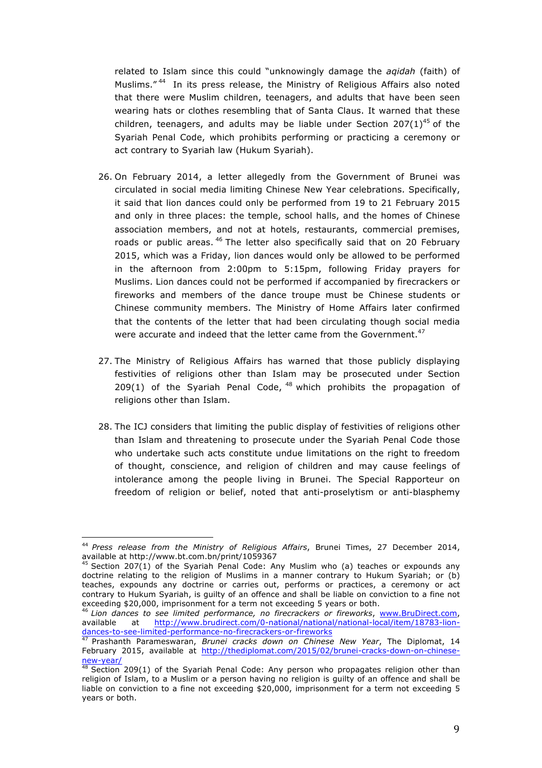related to Islam since this could "unknowingly damage the *aqidah* (faith) of Muslims." <sup>44</sup> In its press release, the Ministry of Religious Affairs also noted that there were Muslim children, teenagers, and adults that have been seen wearing hats or clothes resembling that of Santa Claus. It warned that these children, teenagers, and adults may be liable under Section  $207(1)^{45}$  of the Syariah Penal Code, which prohibits performing or practicing a ceremony or act contrary to Syariah law (Hukum Syariah).

- 26. On February 2014, a letter allegedly from the Government of Brunei was circulated in social media limiting Chinese New Year celebrations. Specifically, it said that lion dances could only be performed from 19 to 21 February 2015 and only in three places: the temple, school halls, and the homes of Chinese association members, and not at hotels, restaurants, commercial premises, roads or public areas. <sup>46</sup> The letter also specifically said that on 20 February 2015, which was a Friday, lion dances would only be allowed to be performed in the afternoon from 2:00pm to 5:15pm, following Friday prayers for Muslims. Lion dances could not be performed if accompanied by firecrackers or fireworks and members of the dance troupe must be Chinese students or Chinese community members. The Ministry of Home Affairs later confirmed that the contents of the letter that had been circulating though social media were accurate and indeed that the letter came from the Government.<sup>47</sup>
- 27. The Ministry of Religious Affairs has warned that those publicly displaying festivities of religions other than Islam may be prosecuted under Section 209(1) of the Syariah Penal Code,  $48$  which prohibits the propagation of religions other than Islam.
- 28. The ICJ considers that limiting the public display of festivities of religions other than Islam and threatening to prosecute under the Syariah Penal Code those who undertake such acts constitute undue limitations on the right to freedom of thought, conscience, and religion of children and may cause feelings of intolerance among the people living in Brunei. The Special Rapporteur on freedom of religion or belief, noted that anti-proselytism or anti-blasphemy

 <sup>44</sup> *Press release from the Ministry of Religious Affairs*, Brunei Times, 27 December 2014, available at http://www.bt.com.bn/print/1059367

 $^{15}$  Section 207(1) of the Syariah Penal Code: Any Muslim who (a) teaches or expounds any doctrine relating to the religion of Muslims in a manner contrary to Hukum Syariah; or (b) teaches, expounds any doctrine or carries out, performs or practices, a ceremony or act contrary to Hukum Syariah, is guilty of an offence and shall be liable on conviction to a fine not exceeding \$20,000, imprisonment for a term not exceeding 5 years or both.

<sup>46</sup> *Lion dances to see limited performance, no firecrackers or fireworks*, www.BruDirect.com, available at http://www.brudirect.com/0-national/national/national-local/item/18783-liondances-to-see-limited-performance-no-firecrackers-or-fireworks

<sup>47</sup> Prashanth Parameswaran, *Brunei cracks down on Chinese New Year*, The Diplomat, 14 February 2015, available at http://thediplomat.com/2015/02/brunei-cracks-down-on-chinesenew-year/

 $^{48}$  Section 209(1) of the Syariah Penal Code: Any person who propagates religion other than religion of Islam, to a Muslim or a person having no religion is guilty of an offence and shall be liable on conviction to a fine not exceeding \$20,000, imprisonment for a term not exceeding 5 years or both.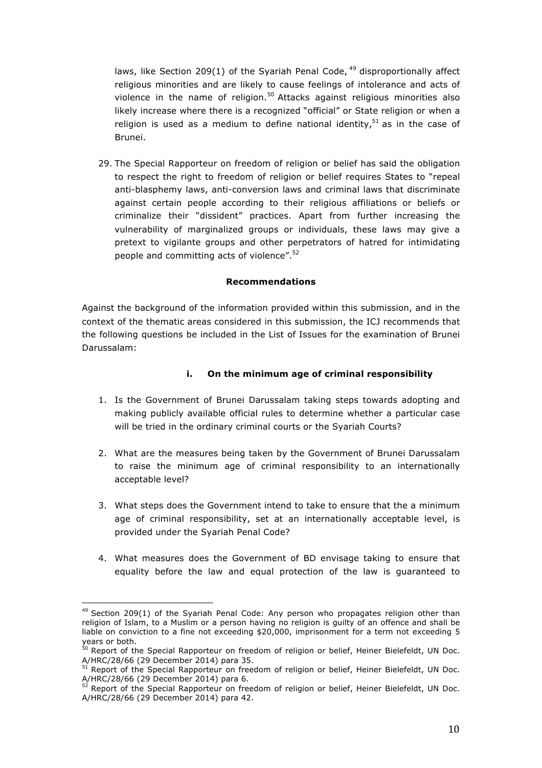laws, like Section 209(1) of the Syariah Penal Code,  $49$  disproportionally affect religious minorities and are likely to cause feelings of intolerance and acts of violence in the name of religion. $50$  Attacks against religious minorities also likely increase where there is a recognized "official" or State religion or when a religion is used as a medium to define national identity,  $51$  as in the case of Brunei.

29. The Special Rapporteur on freedom of religion or belief has said the obligation to respect the right to freedom of religion or belief requires States to "repeal anti-blasphemy laws, anti-conversion laws and criminal laws that discriminate against certain people according to their religious affiliations or beliefs or criminalize their "dissident" practices. Apart from further increasing the vulnerability of marginalized groups or individuals, these laws may give a pretext to vigilante groups and other perpetrators of hatred for intimidating people and committing acts of violence".<sup>52</sup>

#### **Recommendations**

Against the background of the information provided within this submission, and in the context of the thematic areas considered in this submission, the ICJ recommends that the following questions be included in the List of Issues for the examination of Brunei Darussalam:

# **i. On the minimum age of criminal responsibility**

- 1. Is the Government of Brunei Darussalam taking steps towards adopting and making publicly available official rules to determine whether a particular case will be tried in the ordinary criminal courts or the Syariah Courts?
- 2. What are the measures being taken by the Government of Brunei Darussalam to raise the minimum age of criminal responsibility to an internationally acceptable level?
- 3. What steps does the Government intend to take to ensure that the a minimum age of criminal responsibility, set at an internationally acceptable level, is provided under the Syariah Penal Code?
- 4. What measures does the Government of BD envisage taking to ensure that equality before the law and equal protection of the law is guaranteed to

<sup>&</sup>lt;sup>49</sup> Section 209(1) of the Syariah Penal Code: Any person who propagates religion other than religion of Islam, to a Muslim or a person having no religion is guilty of an offence and shall be liable on conviction to a fine not exceeding \$20,000, imprisonment for a term not exceeding 5 years or both.

Report of the Special Rapporteur on freedom of religion or belief, Heiner Bielefeldt, UN Doc. A/HRC/28/66 (29 December 2014) para 35.

<sup>&</sup>lt;sup>51</sup> Report of the Special Rapporteur on freedom of religion or belief, Heiner Bielefeldt, UN Doc. A/HRC/28/66 (29 December 2014) para 6.

<sup>52</sup> Report of the Special Rapporteur on freedom of religion or belief, Heiner Bielefeldt, UN Doc. A/HRC/28/66 (29 December 2014) para 42.